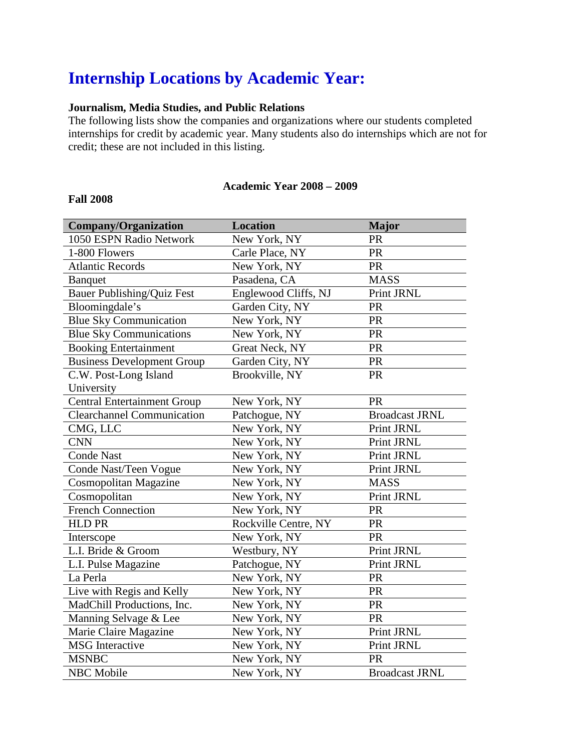# **Internship Locations by Academic Year:**

## **Journalism, Media Studies, and Public Relations**

The following lists show the companies and organizations where our students completed internships for credit by academic year. Many students also do internships which are not for credit; these are not included in this listing.

#### **Academic Year 2008 – 2009**

#### **Fall 2008**

| <b>Company/Organization</b>        | <b>Location</b>      | <b>Major</b>          |
|------------------------------------|----------------------|-----------------------|
| 1050 ESPN Radio Network            | New York, NY         | PR                    |
| 1-800 Flowers                      | Carle Place, NY      | PR                    |
| <b>Atlantic Records</b>            | New York, NY         | PR                    |
| <b>Banquet</b>                     | Pasadena, CA         | <b>MASS</b>           |
| <b>Bauer Publishing/Quiz Fest</b>  | Englewood Cliffs, NJ | Print JRNL            |
| Bloomingdale's                     | Garden City, NY      | PR                    |
| <b>Blue Sky Communication</b>      | New York, NY         | PR                    |
| <b>Blue Sky Communications</b>     | New York, NY         | PR                    |
| <b>Booking Entertainment</b>       | Great Neck, NY       | PR                    |
| <b>Business Development Group</b>  | Garden City, NY      | PR                    |
| C.W. Post-Long Island              | Brookville, NY       | PR                    |
| University                         |                      |                       |
| <b>Central Entertainment Group</b> | New York, NY         | PR                    |
| <b>Clearchannel Communication</b>  | Patchogue, NY        | <b>Broadcast JRNL</b> |
| CMG, LLC                           | New York, NY         | Print JRNL            |
| <b>CNN</b>                         | New York, NY         | Print JRNL            |
| <b>Conde Nast</b>                  | New York, NY         | Print JRNL            |
| Conde Nast/Teen Vogue              | New York, NY         | Print JRNL            |
| Cosmopolitan Magazine              | New York, NY         | <b>MASS</b>           |
| Cosmopolitan                       | New York, NY         | Print JRNL            |
| <b>French Connection</b>           | New York, NY         | PR                    |
| <b>HLD PR</b>                      | Rockville Centre, NY | <b>PR</b>             |
| Interscope                         | New York, NY         | <b>PR</b>             |
| L.I. Bride & Groom                 | Westbury, NY         | Print JRNL            |
| L.I. Pulse Magazine                | Patchogue, NY        | Print JRNL            |
| La Perla                           | New York, NY         | PR                    |
| Live with Regis and Kelly          | New York, NY         | PR                    |
| MadChill Productions, Inc.         | New York, NY         | <b>PR</b>             |
| Manning Selvage & Lee              | New York, NY         | PR                    |
| Marie Claire Magazine              | New York, NY         | Print JRNL            |
| <b>MSG</b> Interactive             | New York, NY         | Print JRNL            |
| <b>MSNBC</b>                       | New York, NY         | PR                    |
| <b>NBC</b> Mobile                  | New York, NY         | <b>Broadcast JRNL</b> |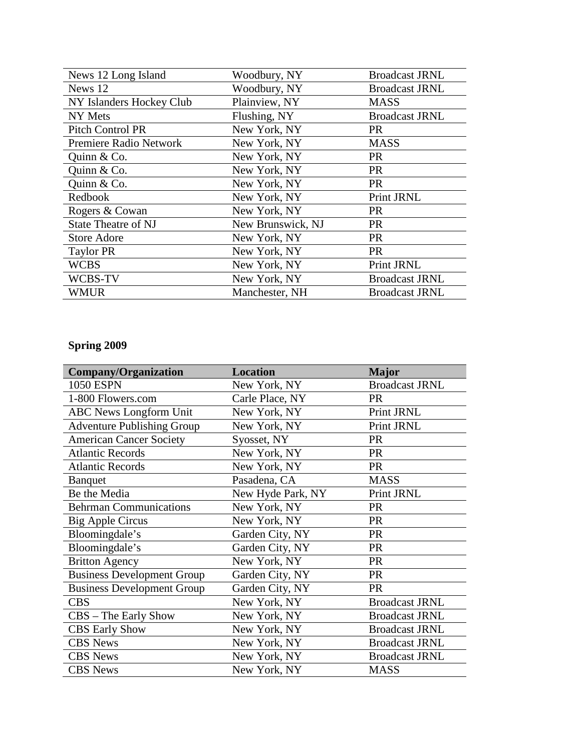| News 12 Long Island        | Woodbury, NY      | <b>Broadcast JRNL</b> |
|----------------------------|-------------------|-----------------------|
| News 12                    | Woodbury, NY      | <b>Broadcast JRNL</b> |
| NY Islanders Hockey Club   | Plainview, NY     | <b>MASS</b>           |
| NY Mets                    | Flushing, NY      | <b>Broadcast JRNL</b> |
| <b>Pitch Control PR</b>    | New York, NY      | <b>PR</b>             |
| Premiere Radio Network     | New York, NY      | <b>MASS</b>           |
| Quinn $& Co.$              | New York, NY      | <b>PR</b>             |
| Quinn & Co.                | New York, NY      | <b>PR</b>             |
| Quinn & Co.                | New York, NY      | <b>PR</b>             |
| Redbook                    | New York, NY      | Print JRNL            |
| Rogers & Cowan             | New York, NY      | <b>PR</b>             |
| <b>State Theatre of NJ</b> | New Brunswick, NJ | <b>PR</b>             |
| <b>Store Adore</b>         | New York, NY      | <b>PR</b>             |
| <b>Taylor PR</b>           | New York, NY      | <b>PR</b>             |
| <b>WCBS</b>                | New York, NY      | Print JRNL            |
| WCBS-TV                    | New York, NY      | <b>Broadcast JRNL</b> |
| WMUR                       | Manchester, NH    | <b>Broadcast JRNL</b> |

## **Spring 2009**

| <b>Company/Organization</b>       | <b>Location</b>   | <b>Major</b>          |
|-----------------------------------|-------------------|-----------------------|
| <b>1050 ESPN</b>                  | New York, NY      | <b>Broadcast JRNL</b> |
| 1-800 Flowers.com                 | Carle Place, NY   | <b>PR</b>             |
| <b>ABC</b> News Longform Unit     | New York, NY      | Print JRNL            |
| <b>Adventure Publishing Group</b> | New York, NY      | Print JRNL            |
| <b>American Cancer Society</b>    | Syosset, NY       | <b>PR</b>             |
| <b>Atlantic Records</b>           | New York, NY      | <b>PR</b>             |
| <b>Atlantic Records</b>           | New York, NY      | <b>PR</b>             |
| <b>Banquet</b>                    | Pasadena, CA      | <b>MASS</b>           |
| Be the Media                      | New Hyde Park, NY | Print JRNL            |
| <b>Behrman Communications</b>     | New York, NY      | <b>PR</b>             |
| Big Apple Circus                  | New York, NY      | <b>PR</b>             |
| Bloomingdale's                    | Garden City, NY   | <b>PR</b>             |
| Bloomingdale's                    | Garden City, NY   | <b>PR</b>             |
| <b>Britton Agency</b>             | New York, NY      | <b>PR</b>             |
| <b>Business Development Group</b> | Garden City, NY   | <b>PR</b>             |
| <b>Business Development Group</b> | Garden City, NY   | <b>PR</b>             |
| <b>CBS</b>                        | New York, NY      | <b>Broadcast JRNL</b> |
| $CBS - The Early Show$            | New York, NY      | <b>Broadcast JRNL</b> |
| <b>CBS Early Show</b>             | New York, NY      | <b>Broadcast JRNL</b> |
| <b>CBS</b> News                   | New York, NY      | <b>Broadcast JRNL</b> |
| <b>CBS</b> News                   | New York, NY      | <b>Broadcast JRNL</b> |
| <b>CBS</b> News                   | New York, NY      | <b>MASS</b>           |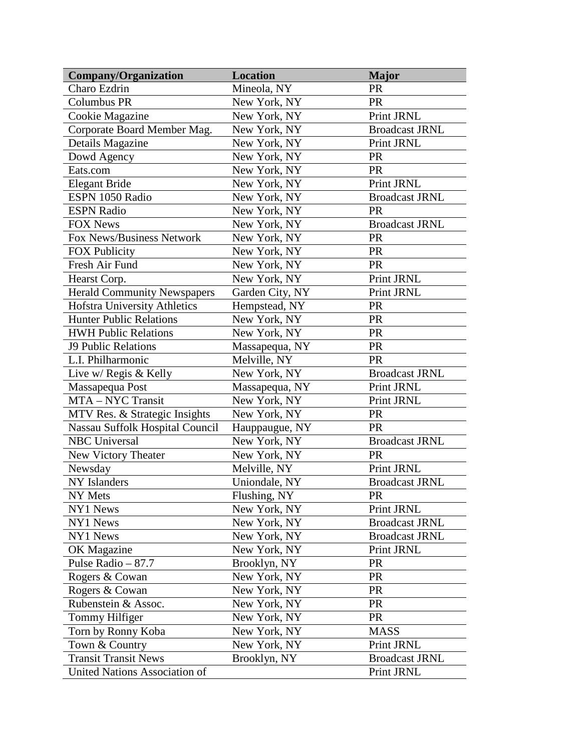| <b>Company/Organization</b>        | <b>Location</b> | <b>Major</b>          |
|------------------------------------|-----------------|-----------------------|
| Charo Ezdrin                       | Mineola, NY     | PR                    |
| <b>Columbus PR</b>                 | New York, NY    | PR                    |
| Cookie Magazine                    | New York, NY    | Print JRNL            |
| Corporate Board Member Mag.        | New York, NY    | <b>Broadcast JRNL</b> |
| Details Magazine                   | New York, NY    | Print JRNL            |
| Dowd Agency                        | New York, NY    | <b>PR</b>             |
| Eats.com                           | New York, NY    | <b>PR</b>             |
| <b>Elegant Bride</b>               | New York, NY    | Print JRNL            |
| ESPN 1050 Radio                    | New York, NY    | <b>Broadcast JRNL</b> |
| <b>ESPN Radio</b>                  | New York, NY    | <b>PR</b>             |
| <b>FOX News</b>                    | New York, NY    | <b>Broadcast JRNL</b> |
| Fox News/Business Network          | New York, NY    | PR                    |
| <b>FOX Publicity</b>               | New York, NY    | <b>PR</b>             |
| Fresh Air Fund                     | New York, NY    | <b>PR</b>             |
| Hearst Corp.                       | New York, NY    | Print JRNL            |
| <b>Herald Community Newspapers</b> | Garden City, NY | Print JRNL            |
| Hofstra University Athletics       | Hempstead, NY   | PR                    |
| <b>Hunter Public Relations</b>     | New York, NY    | PR                    |
| <b>HWH Public Relations</b>        | New York, NY    | PR                    |
| <b>J9 Public Relations</b>         | Massapequa, NY  | PR                    |
| L.I. Philharmonic                  | Melville, NY    | <b>PR</b>             |
| Live w/ Regis & Kelly              | New York, NY    | <b>Broadcast JRNL</b> |
| Massapequa Post                    | Massapequa, NY  | Print JRNL            |
| MTA - NYC Transit                  | New York, NY    | Print JRNL            |
| MTV Res. & Strategic Insights      | New York, NY    | <b>PR</b>             |
| Nassau Suffolk Hospital Council    | Hauppaugue, NY  | <b>PR</b>             |
| <b>NBC</b> Universal               | New York, NY    | <b>Broadcast JRNL</b> |
| <b>New Victory Theater</b>         | New York, NY    | <b>PR</b>             |
| Newsday                            | Melville, NY    | Print JRNL            |
| NY Islanders                       | Uniondale, NY   | <b>Broadcast JRNL</b> |
| NY Mets                            | Flushing, NY    | PR                    |
| NY1 News                           | New York, NY    | Print JRNL            |
| NY1 News                           | New York, NY    | <b>Broadcast JRNL</b> |
| NY1 News                           | New York, NY    | <b>Broadcast JRNL</b> |
| OK Magazine                        | New York, NY    | Print JRNL            |
| Pulse Radio $-87.7$                | Brooklyn, NY    | <b>PR</b>             |
| Rogers & Cowan                     | New York, NY    | PR                    |
| Rogers & Cowan                     | New York, NY    | PR                    |
| Rubenstein & Assoc.                | New York, NY    | <b>PR</b>             |
| Tommy Hilfiger                     | New York, NY    | <b>PR</b>             |
| Torn by Ronny Koba                 | New York, NY    | <b>MASS</b>           |
| Town & Country                     | New York, NY    | Print JRNL            |
| <b>Transit Transit News</b>        | Brooklyn, NY    | <b>Broadcast JRNL</b> |
| United Nations Association of      |                 | Print JRNL            |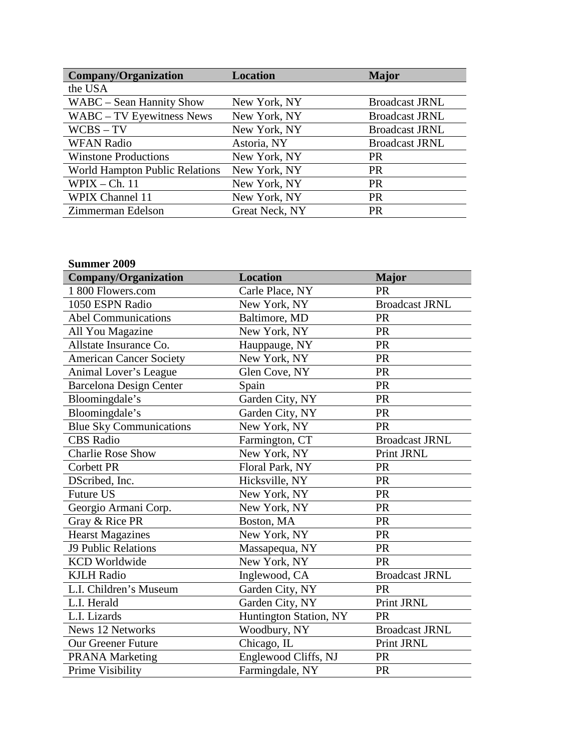| <b>Company/Organization</b>    | <b>Location</b> | <b>Major</b>          |
|--------------------------------|-----------------|-----------------------|
| the USA                        |                 |                       |
| WABC – Sean Hannity Show       | New York, NY    | <b>Broadcast JRNL</b> |
| WABC - TV Eyewitness News      | New York, NY    | <b>Broadcast JRNL</b> |
| $WCBS - TV$                    | New York, NY    | <b>Broadcast JRNL</b> |
| <b>WFAN Radio</b>              | Astoria, NY     | <b>Broadcast JRNL</b> |
| <b>Winstone Productions</b>    | New York, NY    | <b>PR</b>             |
| World Hampton Public Relations | New York, NY    | <b>PR</b>             |
| $W$ PIX – Ch. 11               | New York, NY    | <b>PR</b>             |
| <b>WPIX Channel 11</b>         | New York, NY    | <b>PR</b>             |
| Zimmerman Edelson              | Great Neck, NY  | <b>PR</b>             |

## **Summer 2009**

| Company/Organization           | <b>Location</b>        | <b>Major</b>          |
|--------------------------------|------------------------|-----------------------|
| 1 800 Flowers.com              | Carle Place, NY        | <b>PR</b>             |
| 1050 ESPN Radio                | New York, NY           | <b>Broadcast JRNL</b> |
| <b>Abel Communications</b>     | Baltimore, MD          | <b>PR</b>             |
| All You Magazine               | New York, NY           | <b>PR</b>             |
| Allstate Insurance Co.         | Hauppauge, NY          | <b>PR</b>             |
| <b>American Cancer Society</b> | New York, NY           | <b>PR</b>             |
| Animal Lover's League          | Glen Cove, NY          | PR                    |
| <b>Barcelona Design Center</b> | Spain                  | PR                    |
| Bloomingdale's                 | Garden City, NY        | PR                    |
| Bloomingdale's                 | Garden City, NY        | PR                    |
| <b>Blue Sky Communications</b> | New York, NY           | PR                    |
| <b>CBS</b> Radio               | Farmington, CT         | <b>Broadcast JRNL</b> |
| <b>Charlie Rose Show</b>       | New York, NY           | Print JRNL            |
| <b>Corbett PR</b>              | Floral Park, NY        | <b>PR</b>             |
| DScribed, Inc.                 | Hicksville, NY         | PR                    |
| <b>Future US</b>               | New York, NY           | <b>PR</b>             |
| Georgio Armani Corp.           | New York, NY           | PR                    |
| Gray & Rice PR                 | Boston, MA             | PR                    |
| <b>Hearst Magazines</b>        | New York, NY           | PR                    |
| <b>J9 Public Relations</b>     | Massapequa, NY         | PR                    |
| <b>KCD</b> Worldwide           | New York, NY           | <b>PR</b>             |
| <b>KJLH Radio</b>              | Inglewood, CA          | <b>Broadcast JRNL</b> |
| L.I. Children's Museum         | Garden City, NY        | <b>PR</b>             |
| L.I. Herald                    | Garden City, NY        | Print JRNL            |
| L.I. Lizards                   | Huntington Station, NY | <b>PR</b>             |
| <b>News 12 Networks</b>        | Woodbury, NY           | <b>Broadcast JRNL</b> |
| <b>Our Greener Future</b>      | Chicago, IL            | Print JRNL            |
| <b>PRANA Marketing</b>         | Englewood Cliffs, NJ   | PR                    |
| Prime Visibility               | Farmingdale, NY        | <b>PR</b>             |